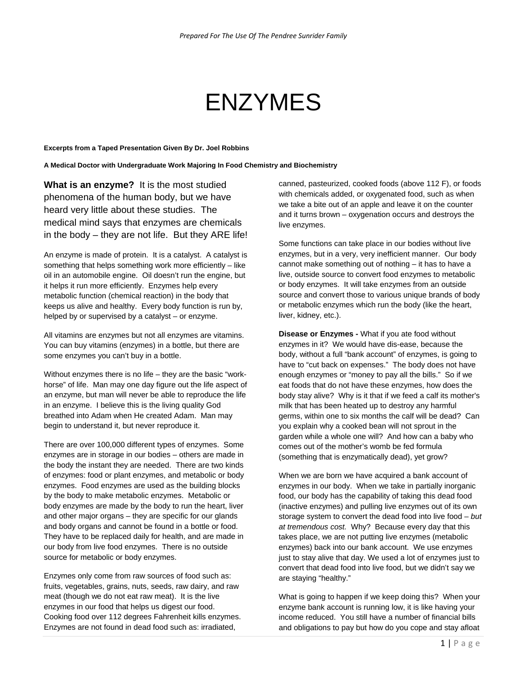## ENZYMES

## **Excerpts from a Taped Presentation Given By Dr. Joel Robbins**

**A Medical Doctor with Undergraduate Work Majoring In Food Chemistry and Biochemistry** 

**What is an enzyme?** It is the most studied phenomena of the human body, but we have heard very little about these studies. The medical mind says that enzymes are chemicals in the body – they are not life. But they ARE life!

An enzyme is made of protein. It is a catalyst. A catalyst is something that helps something work more efficiently – like oil in an automobile engine. Oil doesn't run the engine, but it helps it run more efficiently. Enzymes help every metabolic function (chemical reaction) in the body that keeps us alive and healthy. Every body function is run by, helped by or supervised by a catalyst – or enzyme.

All vitamins are enzymes but not all enzymes are vitamins. You can buy vitamins (enzymes) in a bottle, but there are some enzymes you can't buy in a bottle.

Without enzymes there is no life – they are the basic "workhorse" of life. Man may one day figure out the life aspect of an enzyme, but man will never be able to reproduce the life in an enzyme. I believe this is the living quality God breathed into Adam when He created Adam. Man may begin to understand it, but never reproduce it.

There are over 100,000 different types of enzymes. Some enzymes are in storage in our bodies – others are made in the body the instant they are needed. There are two kinds of enzymes: food or plant enzymes, and metabolic or body enzymes. Food enzymes are used as the building blocks by the body to make metabolic enzymes. Metabolic or body enzymes are made by the body to run the heart, liver and other major organs – they are specific for our glands and body organs and cannot be found in a bottle or food. They have to be replaced daily for health, and are made in our body from live food enzymes. There is no outside source for metabolic or body enzymes.

Enzymes only come from raw sources of food such as: fruits, vegetables, grains, nuts, seeds, raw dairy, and raw meat (though we do not eat raw meat). It is the live enzymes in our food that helps us digest our food. Cooking food over 112 degrees Fahrenheit kills enzymes. Enzymes are not found in dead food such as: irradiated,

canned, pasteurized, cooked foods (above 112 F), or foods with chemicals added, or oxygenated food, such as when we take a bite out of an apple and leave it on the counter and it turns brown – oxygenation occurs and destroys the live enzymes.

Some functions can take place in our bodies without live enzymes, but in a very, very inefficient manner. Our body cannot make something out of nothing – it has to have a live, outside source to convert food enzymes to metabolic or body enzymes. It will take enzymes from an outside source and convert those to various unique brands of body or metabolic enzymes which run the body (like the heart, liver, kidney, etc.).

**Disease or Enzymes -** What if you ate food without enzymes in it? We would have dis-ease, because the body, without a full "bank account" of enzymes, is going to have to "cut back on expenses." The body does not have enough enzymes or "money to pay all the bills." So if we eat foods that do not have these enzymes, how does the body stay alive? Why is it that if we feed a calf its mother's milk that has been heated up to destroy any harmful germs, within one to six months the calf will be dead? Can you explain why a cooked bean will not sprout in the garden while a whole one will? And how can a baby who comes out of the mother's womb be fed formula (something that is enzymatically dead), yet grow?

When we are born we have acquired a bank account of enzymes in our body. When we take in partially inorganic food, our body has the capability of taking this dead food (inactive enzymes) and pulling live enzymes out of its own storage system to convert the dead food into live food – *but at tremendous cost.* Why? Because every day that this takes place, we are not putting live enzymes (metabolic enzymes) back into our bank account. We use enzymes just to stay alive that day. We used a lot of enzymes just to convert that dead food into live food, but we didn't say we are staying "healthy."

What is going to happen if we keep doing this? When your enzyme bank account is running low, it is like having your income reduced. You still have a number of financial bills and obligations to pay but how do you cope and stay afloat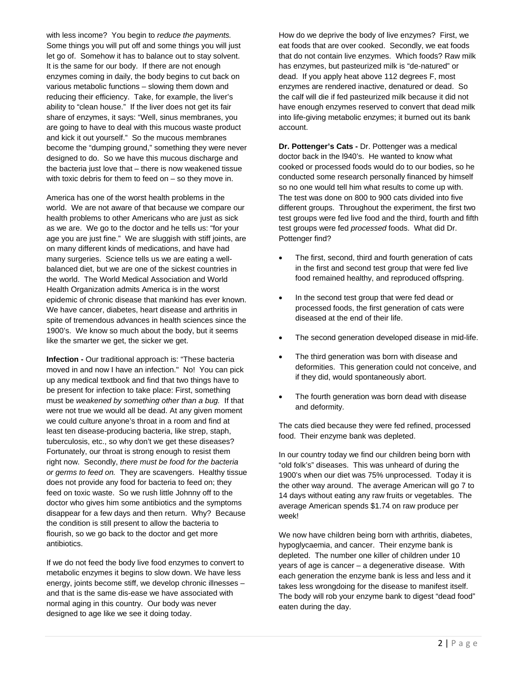with less income? You begin to *reduce the payments.*  Some things you will put off and some things you will just let go of. Somehow it has to balance out to stay solvent. It is the same for our body. If there are not enough enzymes coming in daily, the body begins to cut back on various metabolic functions – slowing them down and reducing their efficiency. Take, for example, the liver's ability to "clean house." If the liver does not get its fair share of enzymes, it says: "Well, sinus membranes, you are going to have to deal with this mucous waste product and kick it out yourself." So the mucous membranes become the "dumping ground," something they were never designed to do. So we have this mucous discharge and the bacteria just love that – there is now weakened tissue with toxic debris for them to feed on – so they move in.

America has one of the worst health problems in the world. We are not aware of that because we compare our health problems to other Americans who are just as sick as we are. We go to the doctor and he tells us: "for your age you are just fine." We are sluggish with stiff joints, are on many different kinds of medications, and have had many surgeries. Science tells us we are eating a wellbalanced diet, but we are one of the sickest countries in the world. The World Medical Association and World Health Organization admits America is in the worst epidemic of chronic disease that mankind has ever known. We have cancer, diabetes, heart disease and arthritis in spite of tremendous advances in health sciences since the 1900's. We know so much about the body, but it seems like the smarter we get, the sicker we get.

**Infection -** Our traditional approach is: "These bacteria moved in and now I have an infection." No! You can pick up any medical textbook and find that two things have to be present for infection to take place: First, something must be *weakened by something other than a bug.* If that were not true we would all be dead. At any given moment we could culture anyone's throat in a room and find at least ten disease-producing bacteria, like strep, staph, tuberculosis, etc., so why don't we get these diseases? Fortunately, our throat is strong enough to resist them right now. Secondly, *there must be food for the bacteria or germs to feed on.* They are scavengers. Healthy tissue does not provide any food for bacteria to feed on; they feed on toxic waste. So we rush little Johnny off to the doctor who gives him some antibiotics and the symptoms disappear for a few days and then return. Why? Because the condition is still present to allow the bacteria to flourish, so we go back to the doctor and get more antibiotics.

If we do not feed the body live food enzymes to convert to metabolic enzymes it begins to slow down. We have less energy, joints become stiff, we develop chronic illnesses – and that is the same dis-ease we have associated with normal aging in this country. Our body was never designed to age like we see it doing today.

How do we deprive the body of live enzymes? First, we eat foods that are over cooked. Secondly, we eat foods that do not contain live enzymes. Which foods? Raw milk has enzymes, but pasteurized milk is "de-natured" or dead. If you apply heat above 112 degrees F, most enzymes are rendered inactive, denatured or dead. So the calf will die if fed pasteurized milk because it did not have enough enzymes reserved to convert that dead milk into life-giving metabolic enzymes; it burned out its bank account.

**Dr. Pottenger's Cats -** Dr. Pottenger was a medical doctor back in the l940's. He wanted to know what cooked or processed foods would do to our bodies, so he conducted some research personally financed by himself so no one would tell him what results to come up with. The test was done on 800 to 900 cats divided into five different groups. Throughout the experiment, the first two test groups were fed live food and the third, fourth and fifth test groups were fed *processed* foods. What did Dr. Pottenger find?

- The first, second, third and fourth generation of cats in the first and second test group that were fed live food remained healthy, and reproduced offspring.
- In the second test group that were fed dead or processed foods, the first generation of cats were diseased at the end of their life.
- The second generation developed disease in mid-life.
- The third generation was born with disease and deformities. This generation could not conceive, and if they did, would spontaneously abort.
- The fourth generation was born dead with disease and deformity.

The cats died because they were fed refined, processed food. Their enzyme bank was depleted.

In our country today we find our children being born with "old folk's" diseases. This was unheard of during the 1900's when our diet was 75% unprocessed. Today it is the other way around. The average American will go 7 to 14 days without eating any raw fruits or vegetables. The average American spends \$1.74 on raw produce per week!

We now have children being born with arthritis, diabetes, hypoglycaemia, and cancer. Their enzyme bank is depleted. The number one killer of children under 10 years of age is cancer – a degenerative disease. With each generation the enzyme bank is less and less and it takes less wrongdoing for the disease to manifest itself. The body will rob your enzyme bank to digest "dead food" eaten during the day.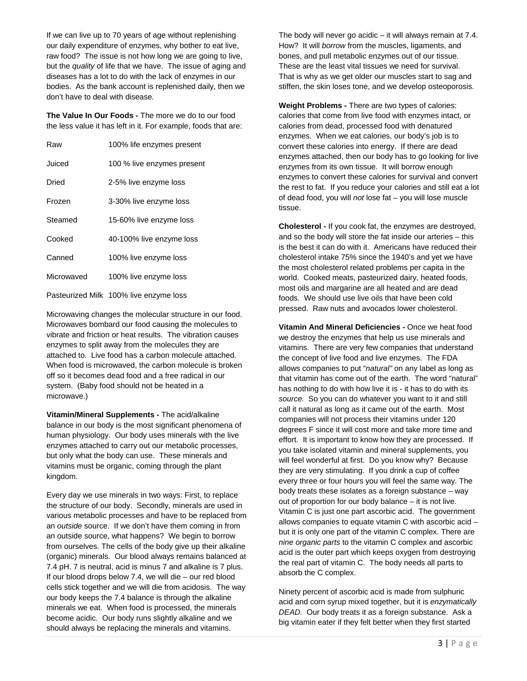If we can live up to 70 years of age without replenishing our daily expenditure of enzymes, why bother to eat live, raw food? The issue is not how long we are going to live, but the *quality* of life that we have. The issue of aging and diseases has a lot to do with the lack of enzymes in our bodies. As the bank account is replenished daily, then we don't have to deal with disease*.* 

**The Value In Our Foods -** The more we do to our food the less value it has left in it. For example, foods that are:

| Raw        | 100% life enzymes present              |
|------------|----------------------------------------|
| Juiced     | 100 % live enzymes present             |
| Dried      | 2-5% live enzyme loss                  |
| Frozen     | 3-30% live enzyme loss                 |
| Steamed    | 15-60% live enzyme loss                |
| Cooked     | 40-100% live enzyme loss               |
| Canned     | 100% live enzyme loss                  |
| Microwaved | 100% live enzyme loss                  |
|            | Pasteurized Milk 100% live enzyme loss |

Microwaving changes the molecular structure in our food. Microwaves bombard our food causing the molecules to vibrate and friction or heat results. The vibration causes enzymes to split away from the molecules they are attached to. Live food has a carbon molecule attached. When food is microwaved, the carbon molecule is broken off so it becomes dead food and a free radical in our system. (Baby food should not be heated in a microwave.)

**Vitamin/Mineral Supplements -** The acid/alkaline balance in our body is the most significant phenomena of human physiology. Our body uses minerals with the live enzymes attached to carry out our metabolic processes, but only what the body can use. These minerals and vitamins must be organic, coming through the plant kingdom.

Every day we use minerals in two ways: First, to replace the structure of our body. Secondly, minerals are used in various metabolic processes and have to be replaced from an *outside* source. If we don't have them coming in from an outside source, what happens? We begin to borrow from ourselves. The cells of the body give up their alkaline (organic) minerals. Our blood always remains balanced at 7.4 pH. 7 is neutral, acid is minus 7 and alkaline is 7 plus. If our blood drops below 7.4, we will die – our red blood cells stick together and we will die from acidosis. The way our body keeps the 7.4 balance is through the alkaline minerals we eat. When food is processed, the minerals become acidic. Our body runs slightly alkaline and we should always be replacing the minerals and vitamins.

The body will never go acidic – it will always remain at 7.4. How? It will *borrow* from the muscles, ligaments, and bones, and pull metabolic enzymes out of our tissue. These are the least vital tissues we need for survival. That is why as we get older our muscles start to sag and stiffen, the skin loses tone, and we develop osteoporosis.

**Weight Problems -** There are two types of calories: calories that come from live food with enzymes intact, or calories from dead, processed food with denatured enzymes. When we eat calories, our body's job is to convert these calories into energy. If there are dead enzymes attached, then our body has to go looking for live enzymes from its own tissue. It will borrow enough enzymes to convert these calories for survival and convert the rest to fat. If you reduce your calories and still eat a lot of dead food, you will *not* lose fat – you will lose muscle tissue.

**Cholesterol -** If you cook fat, the enzymes are destroyed, and so the body will store the fat inside our arteries – this is the best it can do with it. Americans have reduced their cholesterol intake 75% since the 1940's and yet we have the most cholesterol related problems per capita in the world. Cooked meats, pasteurized dairy, heated foods, most oils and margarine are all heated and are dead foods. We should use live oils that have been cold pressed. Raw nuts and avocados lower cholesterol.

**Vitamin And Mineral Deficiencies -** Once we heat food we destroy the enzymes that help us use minerals and vitamins. There are very few companies that understand the concept of live food and live enzymes. The FDA allows companies to put "*natural"* on any label as long as that vitamin has come out of the earth. The word "natural" has nothing to do with how live it is - it has to do with its *source.* So you can do whatever you want to it and still call it natural as long as it came out of the earth. Most companies will not process their vitamins under 120 degrees F since it will cost more and take more time and effort. It is important to know how they are processed. If you take isolated vitamin and mineral supplements, you will feel wonderful at first. Do you know why? Because they are very stimulating. If you drink a cup of coffee every three or four hours you will feel the same way. The body treats these isolates as a foreign substance – way out of proportion for our body balance – it is not live. Vitamin C is just one part ascorbic acid. The government allows companies to equate vitamin C with ascorbic acid – but it is only one part of the vitamin C complex. There are *nine organic parts* to the vitamin C complex and ascorbic acid is the outer part which keeps oxygen from destroying the real part of vitamin C. The body needs all parts to absorb the C complex.

Ninety percent of ascorbic acid is made from sulphuric acid and corn syrup mixed together, but it is *enzymatically DEAD.* Our body treats it as a foreign substance. Ask a big vitamin eater if they felt better when they first started